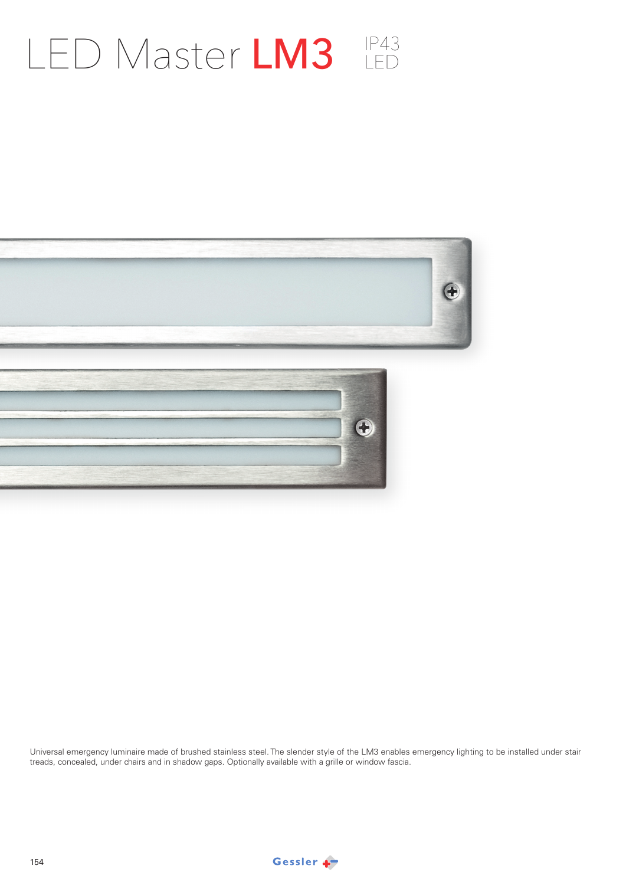## LED Master LM3 LED



Universal emergency luminaire made of brushed stainless steel. The slender style of the LM3 enables emergency lighting to be installed under stair treads, concealed, under chairs and in shadow gaps. Optionally available with a grille or window fascia.